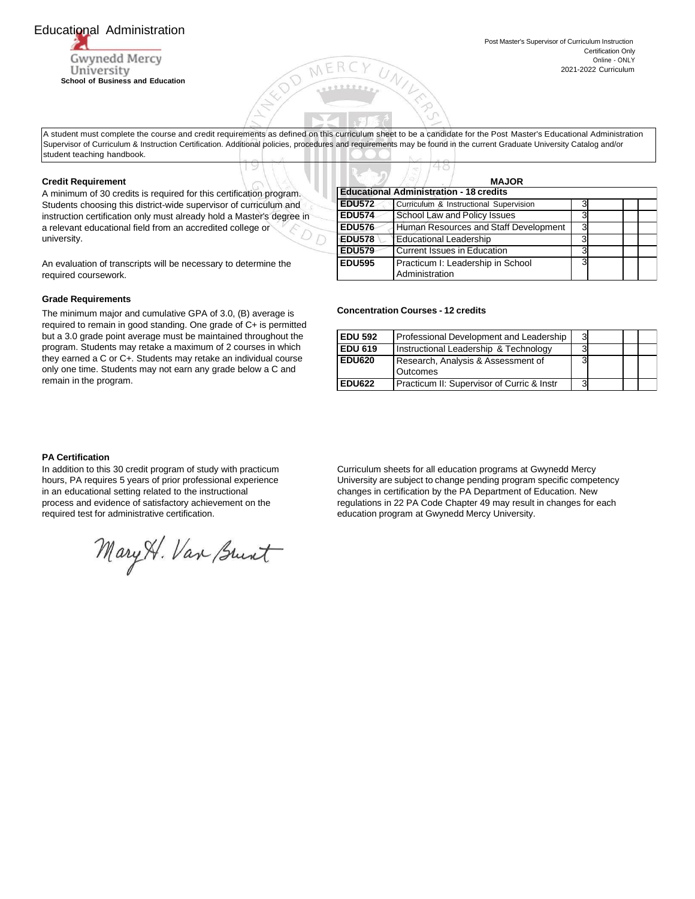# Educational Administration

Gwynedd Mercy University **School of Business and Education**

A student must complete the course and credit requirements as defined on this curriculum sheet to be a candidate for the Post Master's Educational Administration Supervisor of Curriculum & Instruction Certification. Additional policies, procedures and requirements may be found in the current Graduate University Catalog and/or student teaching handbook.

#### **Credit Requirement**

A minimum of 30 credits is required for this certification program. Students choosing this district-wide supervisor of curriculum and instruction certification only must already hold a Master's degree in a relevant educational field from an accredited college or university.

An evaluation of transcripts will be necessary to determine the required coursework.

### **Grade Requirements**

The minimum major and cumulative GPA of 3.0, (B) average is required to remain in good standing. One grade of C+ is permitted but a 3.0 grade point average must be maintained throughout the program. Students may retake a maximum of 2 courses in which they earned a C or C+. Students may retake an individual course only one time. Students may not earn any grade below a C and remain in the program.

|                                                | <b>MAJOR</b>                                        |   |  |  |  |  |  |
|------------------------------------------------|-----------------------------------------------------|---|--|--|--|--|--|
| <b>Educational Administration - 18 credits</b> |                                                     |   |  |  |  |  |  |
| <b>EDU572</b>                                  | Curriculum & Instructional Supervision              |   |  |  |  |  |  |
| <b>EDU574</b>                                  | School Law and Policy Issues                        | 3 |  |  |  |  |  |
| <b>EDU576</b>                                  | Human Resources and Staff Development               | 3 |  |  |  |  |  |
| EDU578                                         | <b>Educational Leadership</b>                       | 3 |  |  |  |  |  |
| <b>EDU579</b>                                  | Current Issues in Education                         | 3 |  |  |  |  |  |
| <b>EDU595</b>                                  | Practicum I: Leadership in School<br>Administration | ٩ |  |  |  |  |  |

#### **Concentration Courses - 12 credits**

48

| <b>EDU 592</b> | Professional Development and Leadership        | 3 |  |  |
|----------------|------------------------------------------------|---|--|--|
| <b>EDU 619</b> | Instructional Leadership & Technology          |   |  |  |
| <b>EDU620</b>  | Research, Analysis & Assessment of<br>Outcomes | 3 |  |  |
| <b>EDU622</b>  | Practicum II: Supervisor of Curric & Instr     | 3 |  |  |

## **PA Certification**

In addition to this 30 credit program of study with practicum hours, PA requires 5 years of prior professional experience in an educational setting related to the instructional process and evidence of satisfactory achievement on the required test for administrative certification.

Mary H. Van Brunt

Curriculum sheets for all education programs at Gwynedd Mercy University are subject to change pending program specific competency changes in certification by the PA Department of Education. New regulations in 22 PA Code Chapter 49 may result in changes for each education program at Gwynedd Mercy University.